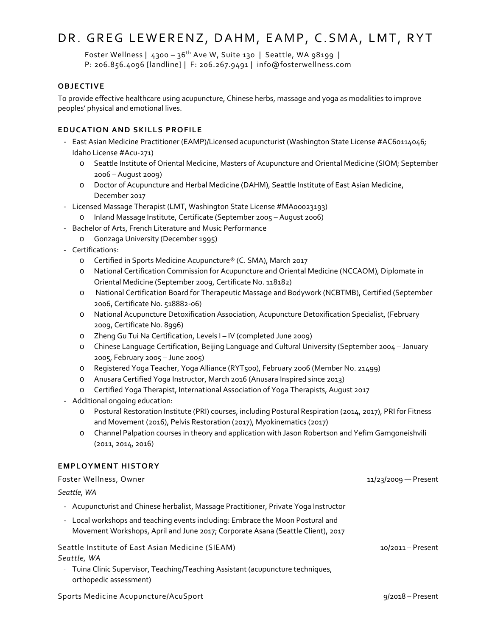# DR. GREG LEWERENZ, DAHM, EAMP, C.SMA, LMT, RYT

Foster Wellness |  $4300 - 36$ <sup>th</sup> Ave W, Suite 130 | Seattle, WA 98199 | P: 206.856.4096 [landline] | F: 206.267.9491 | info@fosterwellness.com

# **OBJECTIVE**

To provide effective healthcare using acupuncture, Chinese herbs, massage and yoga as modalities to improve peoples' physical and emotional lives.

## **EDUCATION AND SKILLS PROFILE**

- East Asian Medicine Practitioner (EAMP)/Licensed acupuncturist (Washington State License #AC60114046; Idaho License #Acu-271)
	- o Seattle Institute of Oriental Medicine, Masters of Acupuncture and Oriental Medicine (SIOM; September 2006 – August 2009)
	- o Doctor of Acupuncture and Herbal Medicine (DAHM), Seattle Institute of East Asian Medicine, December 2017
- Licensed Massage Therapist (LMT, Washington State License #MA00023193)
	- o Inland Massage Institute, Certificate (September 2005 August 2006)
- Bachelor of Arts, French Literature and Music Performance
	- o Gonzaga University (December 1995)
- Certifications:
	- o Certified in Sports Medicine Acupuncture® (C. SMA), March 2017
	- o National Certification Commission for Acupuncture and Oriental Medicine (NCCAOM), Diplomate in Oriental Medicine (September 2009, Certificate No. 118182)
	- o National Certification Board for Therapeutic Massage and Bodywork (NCBTMB), Certified (September 2006, Certificate No. 518882-06)
	- o National Acupuncture Detoxification Association, Acupuncture Detoxification Specialist, (February 2009, Certificate No. 8996)
	- o Zheng Gu Tui Na Certification, Levels I IV (completed June 2009)
	- o Chinese Language Certification, Beijing Language and Cultural University (September 2004 January 2005, February 2005 – June 2005)
	- o Registered Yoga Teacher, Yoga Alliance (RYT500), February 2006 (Member No. 21499)
	- o Anusara Certified Yoga Instructor, March 2016 (Anusara Inspired since 2013)
	- o Certified Yoga Therapist, International Association of Yoga Therapists, August 2017
- Additional ongoing education:
	- o Postural Restoration Institute (PRI) courses, including Postural Respiration (2014, 2017), PRI for Fitness and Movement (2016), Pelvis Restoration (2017), Myokinematics (2017)
	- o Channel Palpation courses in theory and application with Jason Robertson and Yefim Gamgoneishvili (2011, 2014, 2016)

### **EMPLOYMENT HISTORY**

| Foster Wellness, Owner                                                                                        | 11/23/2009 - Present |
|---------------------------------------------------------------------------------------------------------------|----------------------|
| Seattle, WA<br>- Acupuncturist and Chinese herbalist, Massage Practitioner, Private Yoga Instructor           |                      |
|                                                                                                               |                      |
| Seattle Institute of East Asian Medicine (SIEAM)                                                              | $10/2011 -$ Present  |
| Seattle, WA                                                                                                   |                      |
| Tuina Clinic Supervisor, Teaching/Teaching Assistant (acupuncture techniques,<br>÷.<br>orthopedic assessment) |                      |